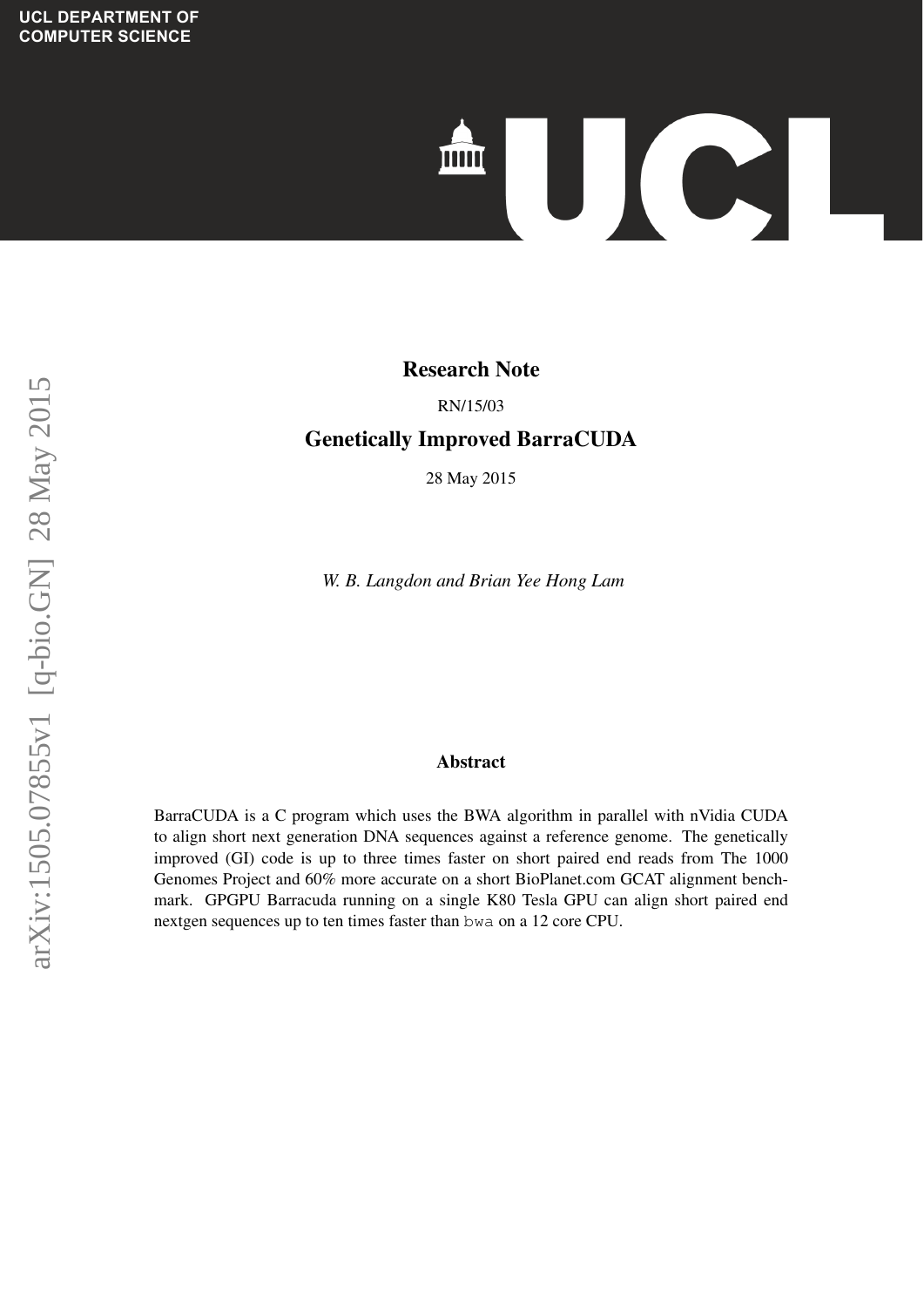# IC **TITTE**

### **Evolving Expectral Species Species Species Species Species Species Species Species Species Species Species Species Species Species Species Species Species Species Species Species Species Species Species Species Species Sp**

## **Techniques** RN/15/03

#### **Genetically Improved BarraCUDA**

28 May 2015

*W. B. Langdon and Brian Yee Hong Lam*

#### $\overline{\text{Abstract}}$ Abstract

ranking statements according to the predicted risk evaluation for  $P$ BarraCUDA is a C program which uses the BWA algorithm in parallel with nVidia CUDA to align short next generation DNA sequences against a reference genome. The genetically  $\frac{1}{2}$ improved (GI) code is up to three times faster on short paired end reads from The 1000 Genomes Project and 60% more accurate on a short BioPlanet.com GCAT alignment bench-<br>COSTULA mark. GPGPU Barracuda running on a single K80 Tesla GPU can align short paired end nextgen sequences up to ten times faster than bwa on a 12 core CPU.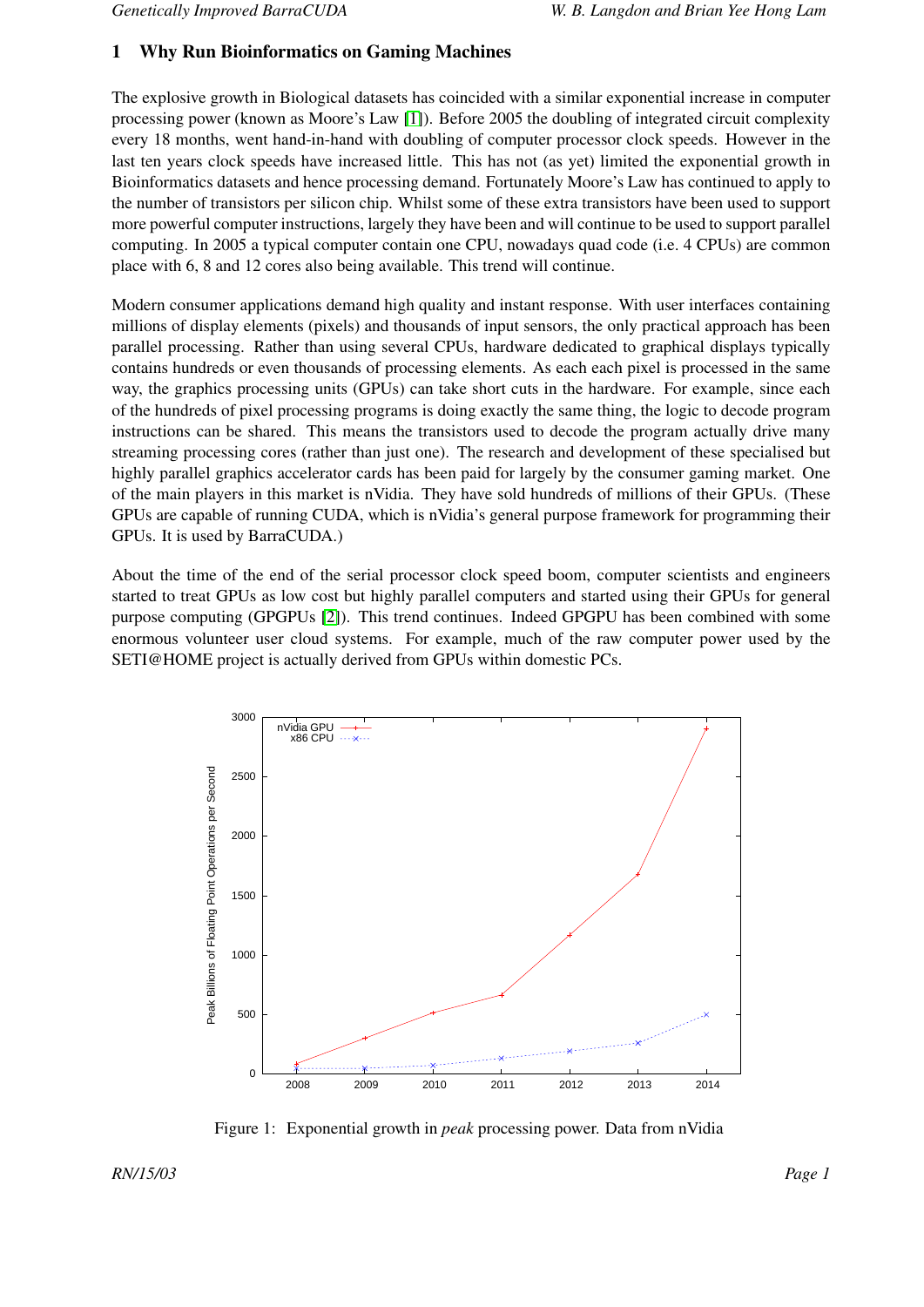#### 1 Why Run Bioinformatics on Gaming Machines

The explosive growth in Biological datasets has coincided with a similar exponential increase in computer processing power (known as Moore's Law [\[1\]](#page-7-0)). Before 2005 the doubling of integrated circuit complexity every 18 months, went hand-in-hand with doubling of computer processor clock speeds. However in the last ten years clock speeds have increased little. This has not (as yet) limited the exponential growth in Bioinformatics datasets and hence processing demand. Fortunately Moore's Law has continued to apply to the number of transistors per silicon chip. Whilst some of these extra transistors have been used to support more powerful computer instructions, largely they have been and will continue to be used to support parallel computing. In 2005 a typical computer contain one CPU, nowadays quad code (i.e. 4 CPUs) are common place with 6, 8 and 12 cores also being available. This trend will continue.

Modern consumer applications demand high quality and instant response. With user interfaces containing millions of display elements (pixels) and thousands of input sensors, the only practical approach has been parallel processing. Rather than using several CPUs, hardware dedicated to graphical displays typically contains hundreds or even thousands of processing elements. As each each pixel is processed in the same way, the graphics processing units (GPUs) can take short cuts in the hardware. For example, since each of the hundreds of pixel processing programs is doing exactly the same thing, the logic to decode program instructions can be shared. This means the transistors used to decode the program actually drive many streaming processing cores (rather than just one). The research and development of these specialised but highly parallel graphics accelerator cards has been paid for largely by the consumer gaming market. One of the main players in this market is nVidia. They have sold hundreds of millions of their GPUs. (These GPUs are capable of running CUDA, which is nVidia's general purpose framework for programming their GPUs. It is used by BarraCUDA.)

About the time of the end of the serial processor clock speed boom, computer scientists and engineers started to treat GPUs as low cost but highly parallel computers and started using their GPUs for general purpose computing (GPGPUs [\[2\]](#page-7-1)). This trend continues. Indeed GPGPU has been combined with some enormous volunteer user cloud systems. For example, much of the raw computer power used by the SETI@HOME project is actually derived from GPUs within domestic PCs.



Figure 1: Exponential growth in *peak* processing power. Data from nVidia

*RN/15/03 Page 1*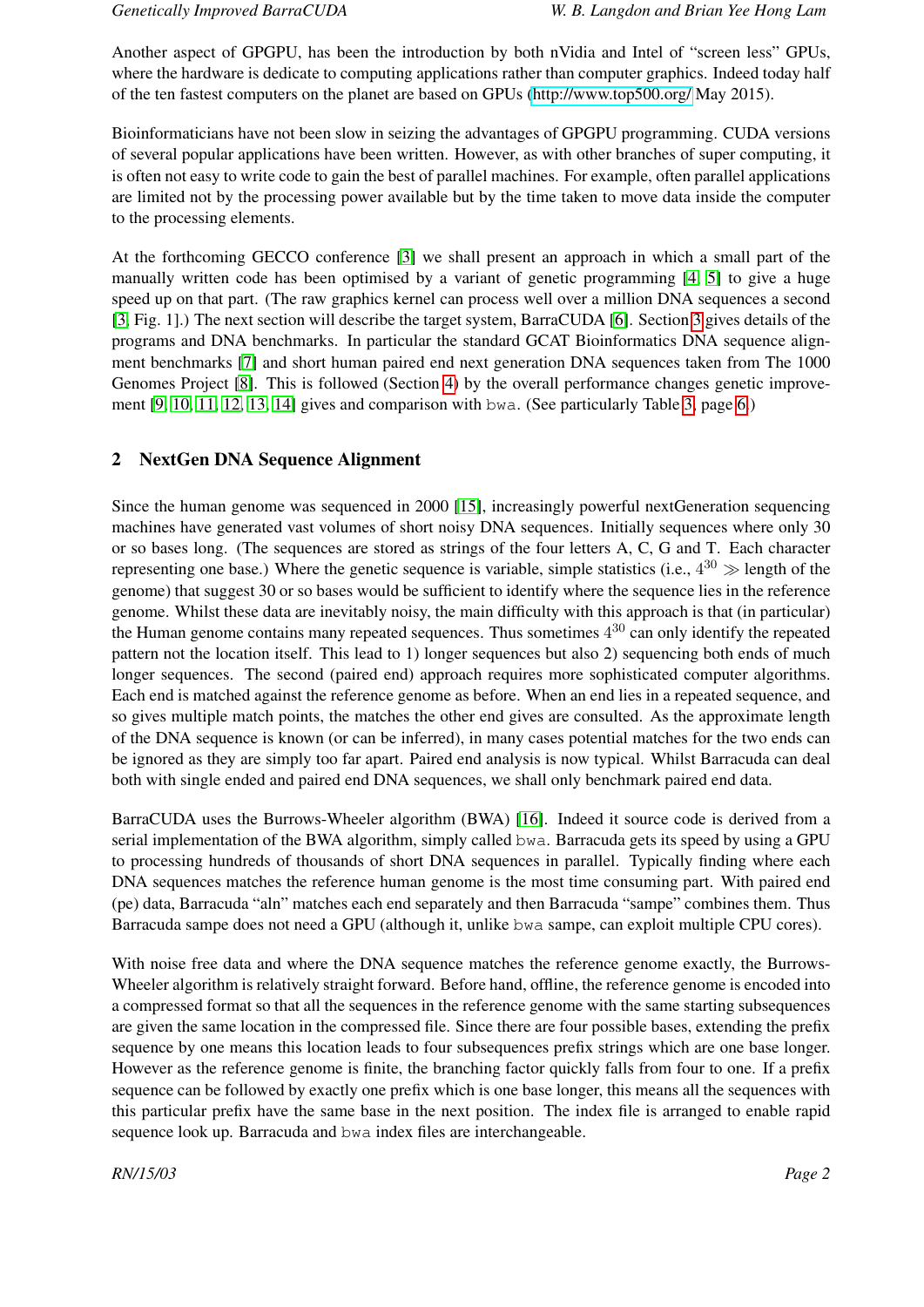Another aspect of GPGPU, has been the introduction by both nVidia and Intel of "screen less" GPUs, where the hardware is dedicate to computing applications rather than computer graphics. Indeed today half of the ten fastest computers on the planet are based on GPUs [\(http://www.top500.org/](http://www.top500.org/) May 2015).

Bioinformaticians have not been slow in seizing the advantages of GPGPU programming. CUDA versions of several popular applications have been written. However, as with other branches of super computing, it is often not easy to write code to gain the best of parallel machines. For example, often parallel applications are limited not by the processing power available but by the time taken to move data inside the computer to the processing elements.

At the forthcoming GECCO conference [\[3\]](#page-7-2) we shall present an approach in which a small part of the manually written code has been optimised by a variant of genetic programming [\[4,](#page-7-3) [5\]](#page-8-0) to give a huge speed up on that part. (The raw graphics kernel can process well over a million DNA sequences a second [\[3,](#page-7-2) Fig. 1].) The next section will describe the target system, BarraCUDA [\[6\]](#page-8-1). Section [3](#page-4-0) gives details of the programs and DNA benchmarks. In particular the standard GCAT Bioinformatics DNA sequence alignment benchmarks [\[7\]](#page-8-2) and short human paired end next generation DNA sequences taken from The 1000 Genomes Project [\[8\]](#page-8-3). This is followed (Section [4\)](#page-6-0) by the overall performance changes genetic improvement [\[9,](#page-8-4) [10,](#page-8-5) [11,](#page-8-6) [12,](#page-8-7) [13,](#page-8-8) [14\]](#page-8-9) gives and comparison with bwa. (See particularly Table [3,](#page-6-1) page [6.](#page-6-1))

#### 2 NextGen DNA Sequence Alignment

Since the human genome was sequenced in 2000 [\[15\]](#page-8-10), increasingly powerful nextGeneration sequencing machines have generated vast volumes of short noisy DNA sequences. Initially sequences where only 30 or so bases long. (The sequences are stored as strings of the four letters A, C, G and T. Each character representing one base.) Where the genetic sequence is variable, simple statistics (i.e.,  $4^{30} \gg$  length of the genome) that suggest 30 or so bases would be sufficient to identify where the sequence lies in the reference genome. Whilst these data are inevitably noisy, the main difficulty with this approach is that (in particular) the Human genome contains many repeated sequences. Thus sometimes  $4^{30}$  can only identify the repeated pattern not the location itself. This lead to 1) longer sequences but also 2) sequencing both ends of much longer sequences. The second (paired end) approach requires more sophisticated computer algorithms. Each end is matched against the reference genome as before. When an end lies in a repeated sequence, and so gives multiple match points, the matches the other end gives are consulted. As the approximate length of the DNA sequence is known (or can be inferred), in many cases potential matches for the two ends can be ignored as they are simply too far apart. Paired end analysis is now typical. Whilst Barracuda can deal both with single ended and paired end DNA sequences, we shall only benchmark paired end data.

BarraCUDA uses the Burrows-Wheeler algorithm (BWA) [\[16\]](#page-8-11). Indeed it source code is derived from a serial implementation of the BWA algorithm, simply called bwa. Barracuda gets its speed by using a GPU to processing hundreds of thousands of short DNA sequences in parallel. Typically finding where each DNA sequences matches the reference human genome is the most time consuming part. With paired end (pe) data, Barracuda "aln" matches each end separately and then Barracuda "sampe" combines them. Thus Barracuda sampe does not need a GPU (although it, unlike bwa sampe, can exploit multiple CPU cores).

With noise free data and where the DNA sequence matches the reference genome exactly, the Burrows-Wheeler algorithm is relatively straight forward. Before hand, offline, the reference genome is encoded into a compressed format so that all the sequences in the reference genome with the same starting subsequences are given the same location in the compressed file. Since there are four possible bases, extending the prefix sequence by one means this location leads to four subsequences prefix strings which are one base longer. However as the reference genome is finite, the branching factor quickly falls from four to one. If a prefix sequence can be followed by exactly one prefix which is one base longer, this means all the sequences with this particular prefix have the same base in the next position. The index file is arranged to enable rapid sequence look up. Barracuda and bwa index files are interchangeable.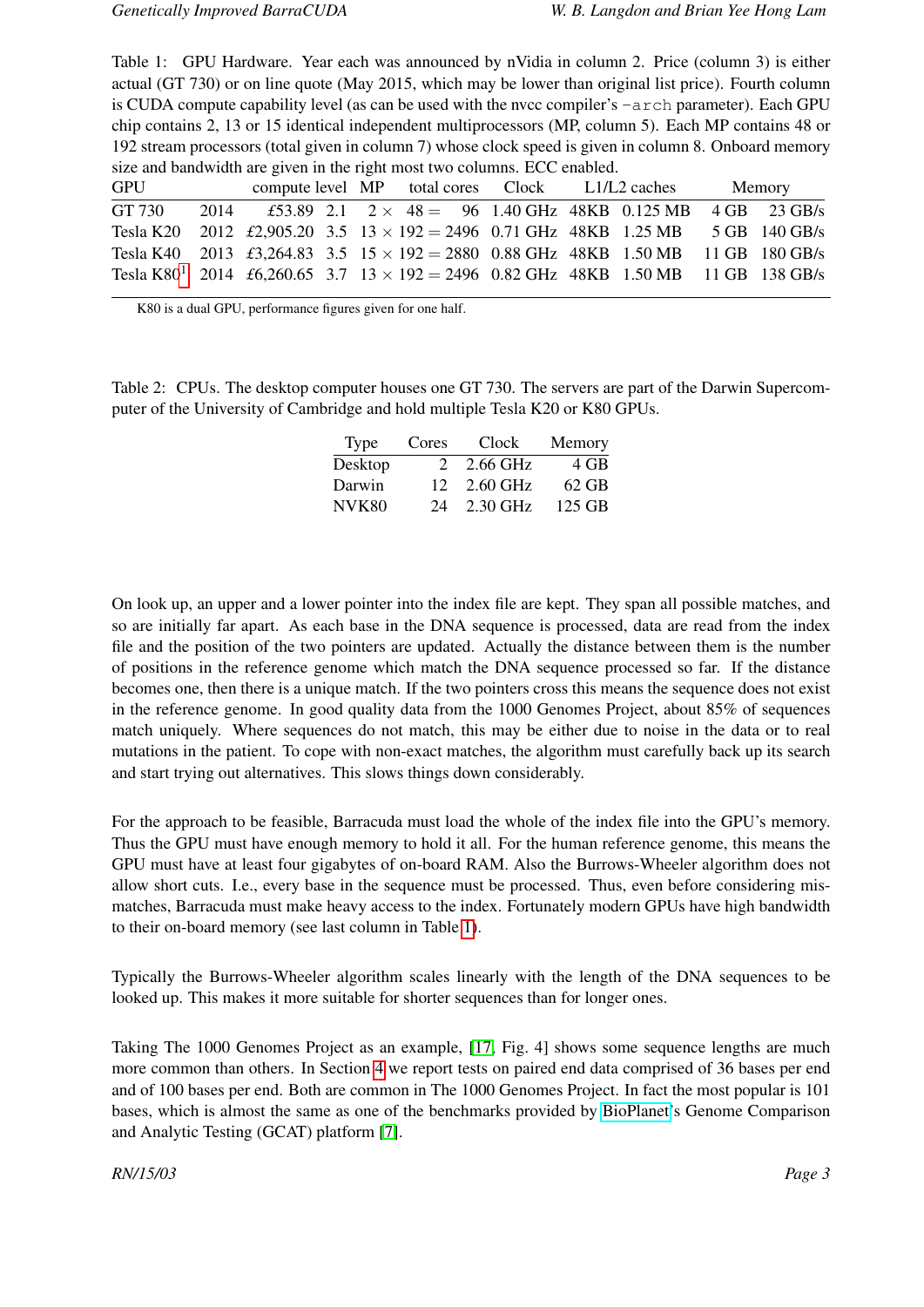<span id="page-3-1"></span>Table 1: GPU Hardware. Year each was announced by nVidia in column 2. Price (column 3) is either actual (GT 730) or on line quote (May 2015, which may be lower than original list price). Fourth column is CUDA compute capability level (as can be used with the nvcc compiler's -arch parameter). Each GPU chip contains 2, 13 or 15 identical independent multiprocessors (MP, column 5). Each MP contains 48 or 192 stream processors (total given in column 7) whose clock speed is given in column 8. Onboard memory size and bandwidth are given in the right most two columns. ECC enabled.

| <b>GPU</b> |  |  |  |                                                                                                | compute level MP total cores Clock L1/L2 caches |  |  |  | Memory |  |
|------------|--|--|--|------------------------------------------------------------------------------------------------|-------------------------------------------------|--|--|--|--------|--|
| GT 730     |  |  |  | 2014 $\text{\pounds}53.89$ 2.1 2 × 48 = 96 1.40 GHz 48KB 0.125 MB 4 GB 23 GB/s                 |                                                 |  |  |  |        |  |
|            |  |  |  | Tesla K20 2012 £2,905.20 3.5 13 × 192 = 2496 0.71 GHz 48KB 1.25 MB 5 GB 140 GB/s               |                                                 |  |  |  |        |  |
|            |  |  |  | Tesla K40 2013 £3,264.83 3.5 $15 \times 192 = 2880$ 0.88 GHz 48KB 1.50 MB 11 GB 180 GB/s       |                                                 |  |  |  |        |  |
|            |  |  |  | Tesla K80 <sup>1</sup> 2014 £6,260.65 3.7 13 × 192 = 2496 0.82 GHz 48KB 1.50 MB 11 GB 138 GB/s |                                                 |  |  |  |        |  |

<span id="page-3-0"></span>K80 is a dual GPU, performance figures given for one half.

<span id="page-3-2"></span>Table 2: CPUs. The desktop computer houses one GT 730. The servers are part of the Darwin Supercomputer of the University of Cambridge and hold multiple Tesla K20 or K80 GPUs.

| Type    | Cores | Clock                       | Memory  |
|---------|-------|-----------------------------|---------|
| Desktop |       | 2 2.66 GHz                  | 4 GB    |
| Darwin  |       | $12 \quad 2.60 \text{ GHz}$ | $62$ GB |
| NVK80   | 24    | 2.30 GHz                    | 125 GB  |

On look up, an upper and a lower pointer into the index file are kept. They span all possible matches, and so are initially far apart. As each base in the DNA sequence is processed, data are read from the index file and the position of the two pointers are updated. Actually the distance between them is the number of positions in the reference genome which match the DNA sequence processed so far. If the distance becomes one, then there is a unique match. If the two pointers cross this means the sequence does not exist in the reference genome. In good quality data from the 1000 Genomes Project, about 85% of sequences match uniquely. Where sequences do not match, this may be either due to noise in the data or to real mutations in the patient. To cope with non-exact matches, the algorithm must carefully back up its search and start trying out alternatives. This slows things down considerably.

For the approach to be feasible, Barracuda must load the whole of the index file into the GPU's memory. Thus the GPU must have enough memory to hold it all. For the human reference genome, this means the GPU must have at least four gigabytes of on-board RAM. Also the Burrows-Wheeler algorithm does not allow short cuts. I.e., every base in the sequence must be processed. Thus, even before considering mismatches, Barracuda must make heavy access to the index. Fortunately modern GPUs have high bandwidth to their on-board memory (see last column in Table [1\)](#page-3-1).

Typically the Burrows-Wheeler algorithm scales linearly with the length of the DNA sequences to be looked up. This makes it more suitable for shorter sequences than for longer ones.

Taking The 1000 Genomes Project as an example, [\[17,](#page-8-12) Fig. 4] shows some sequence lengths are much more common than others. In Section [4](#page-6-0) we report tests on paired end data comprised of 36 bases per end and of 100 bases per end. Both are common in The 1000 Genomes Project. In fact the most popular is 101 bases, which is almost the same as one of the benchmarks provided by [BioPlanet'](http://www.bioplanet.com)s Genome Comparison and Analytic Testing (GCAT) platform [\[7\]](#page-8-2).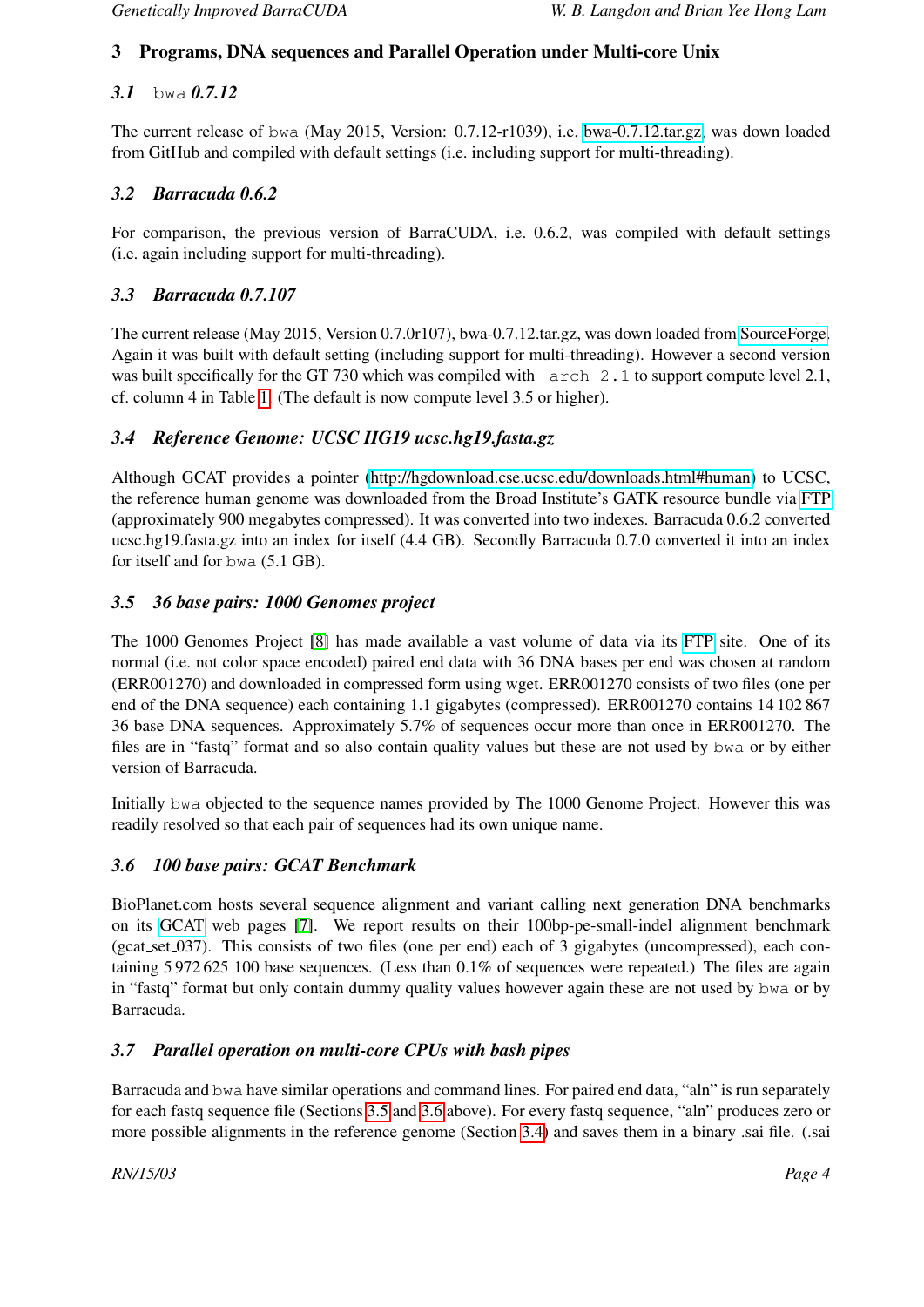#### <span id="page-4-0"></span>3 Programs, DNA sequences and Parallel Operation under Multi-core Unix

#### *3.1* bwa *0.7.12*

The current release of bwa (May 2015, Version: 0.7.12-r1039), i.e. [bwa-0.7.12.tar.gz,](https://github.com/lh3/bwa/archive/0.7.12.tar.gz) was down loaded from GitHub and compiled with default settings (i.e. including support for multi-threading).

#### *3.2 Barracuda 0.6.2*

For comparison, the previous version of BarraCUDA, i.e. 0.6.2, was compiled with default settings (i.e. again including support for multi-threading).

#### *3.3 Barracuda 0.7.107*

The current release (May 2015, Version 0.7.0r107), bwa-0.7.12.tar.gz, was down loaded from [SourceForge.](http://sourceforge.net/projects/seqbarracuda/files/latest/download) Again it was built with default setting (including support for multi-threading). However a second version was built specifically for the GT 730 which was compiled with  $-\text{arch}$  2.1 to support compute level 2.1, cf. column 4 in Table [1.](#page-3-1) (The default is now compute level 3.5 or higher).

#### <span id="page-4-3"></span>*3.4 Reference Genome: UCSC HG19 ucsc.hg19.fasta.gz*

Although GCAT provides a pointer [\(http://hgdownload.cse.ucsc.edu/downloads.html#human\)](http://hgdownload.cse.ucsc.edu/downloads.html#human) to UCSC, the reference human genome was downloaded from the Broad Institute's GATK resource bundle via [FTP](ftp://gsapubftp-anonymous@ftp.broadinstitute.org/bundle/2.8/hg19/) (approximately 900 megabytes compressed). It was converted into two indexes. Barracuda 0.6.2 converted ucsc.hg19.fasta.gz into an index for itself (4.4 GB). Secondly Barracuda 0.7.0 converted it into an index for itself and for bwa (5.1 GB).

#### <span id="page-4-1"></span>*3.5 36 base pairs: 1000 Genomes project*

The 1000 Genomes Project [\[8\]](#page-8-3) has made available a vast volume of data via its [FTP](ftp://ftp.1000genomes.ebi.ac.uk/vol1/ftp/) site. One of its normal (i.e. not color space encoded) paired end data with 36 DNA bases per end was chosen at random (ERR001270) and downloaded in compressed form using wget. ERR001270 consists of two files (one per end of the DNA sequence) each containing 1.1 gigabytes (compressed). ERR001270 contains 14 102 867 36 base DNA sequences. Approximately 5.7% of sequences occur more than once in ERR001270. The files are in "fastq" format and so also contain quality values but these are not used by bwa or by either version of Barracuda.

Initially bwa objected to the sequence names provided by The 1000 Genome Project. However this was readily resolved so that each pair of sequences had its own unique name.

#### <span id="page-4-2"></span>*3.6 100 base pairs: GCAT Benchmark*

BioPlanet.com hosts several sequence alignment and variant calling next generation DNA benchmarks on its [GCAT](http://www.bioplanet.com/gcat) web pages [\[7\]](#page-8-2). We report results on their 100bp-pe-small-indel alignment benchmark (gcat set 037). This consists of two files (one per end) each of 3 gigabytes (uncompressed), each containing 5 972 625 100 base sequences. (Less than 0.1% of sequences were repeated.) The files are again in "fastq" format but only contain dummy quality values however again these are not used by bwa or by Barracuda.

#### *3.7 Parallel operation on multi-core CPUs with bash pipes*

Barracuda and bwa have similar operations and command lines. For paired end data, "aln" is run separately for each fastq sequence file (Sections [3.5](#page-4-1) and [3.6](#page-4-2) above). For every fastq sequence, "aln" produces zero or more possible alignments in the reference genome (Section [3.4\)](#page-4-3) and saves them in a binary .sai file. (.sai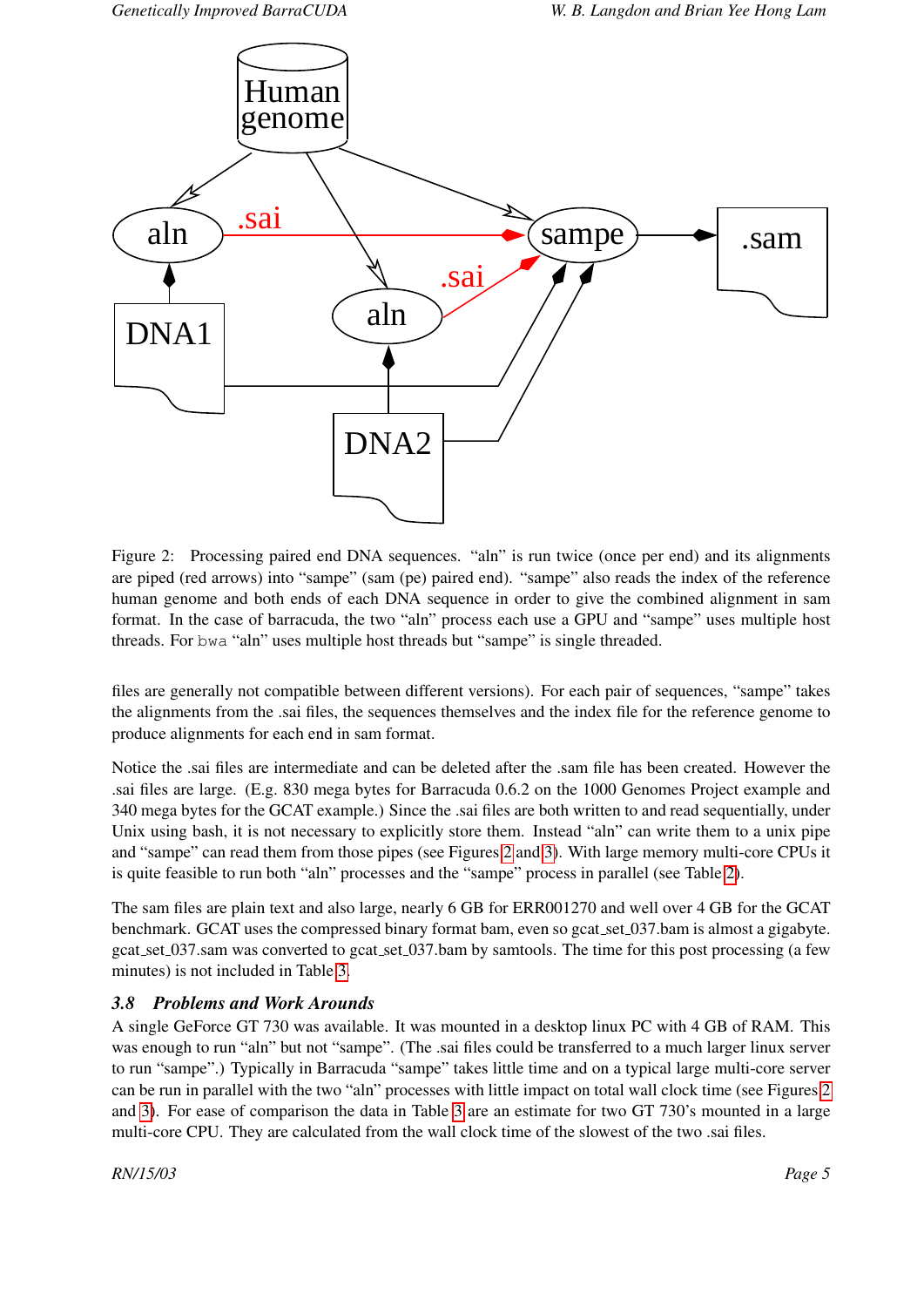

<span id="page-5-0"></span>Figure 2: Processing paired end DNA sequences. "aln" is run twice (once per end) and its alignments are piped (red arrows) into "sampe" (sam (pe) paired end). "sampe" also reads the index of the reference human genome and both ends of each DNA sequence in order to give the combined alignment in sam format. In the case of barracuda, the two "aln" process each use a GPU and "sampe" uses multiple host threads. For bwa "aln" uses multiple host threads but "sampe" is single threaded.

files are generally not compatible between different versions). For each pair of sequences, "sampe" takes the alignments from the .sai files, the sequences themselves and the index file for the reference genome to produce alignments for each end in sam format.

Notice the .sai files are intermediate and can be deleted after the .sam file has been created. However the .sai files are large. (E.g. 830 mega bytes for Barracuda 0.6.2 on the 1000 Genomes Project example and 340 mega bytes for the GCAT example.) Since the .sai files are both written to and read sequentially, under Unix using bash, it is not necessary to explicitly store them. Instead "aln" can write them to a unix pipe and "sampe" can read them from those pipes (see Figures [2](#page-5-0) and [3\)](#page-6-2). With large memory multi-core CPUs it is quite feasible to run both "aln" processes and the "sampe" process in parallel (see Table [2\)](#page-3-2).

The sam files are plain text and also large, nearly 6 GB for ERR001270 and well over 4 GB for the GCAT benchmark. GCAT uses the compressed binary format bam, even so gcat set 037.bam is almost a gigabyte. gcat set 037.sam was converted to gcat set 037.bam by samtools. The time for this post processing (a few minutes) is not included in Table [3.](#page-6-1)

#### <span id="page-5-1"></span>*3.8 Problems and Work Arounds*

A single GeForce GT 730 was available. It was mounted in a desktop linux PC with 4 GB of RAM. This was enough to run "aln" but not "sampe". (The .sai files could be transferred to a much larger linux server to run "sampe".) Typically in Barracuda "sampe" takes little time and on a typical large multi-core server can be run in parallel with the two "aln" processes with little impact on total wall clock time (see Figures [2](#page-5-0) and [3\)](#page-6-2). For ease of comparison the data in Table [3](#page-6-1) are an estimate for two GT 730's mounted in a large multi-core CPU. They are calculated from the wall clock time of the slowest of the two .sai files.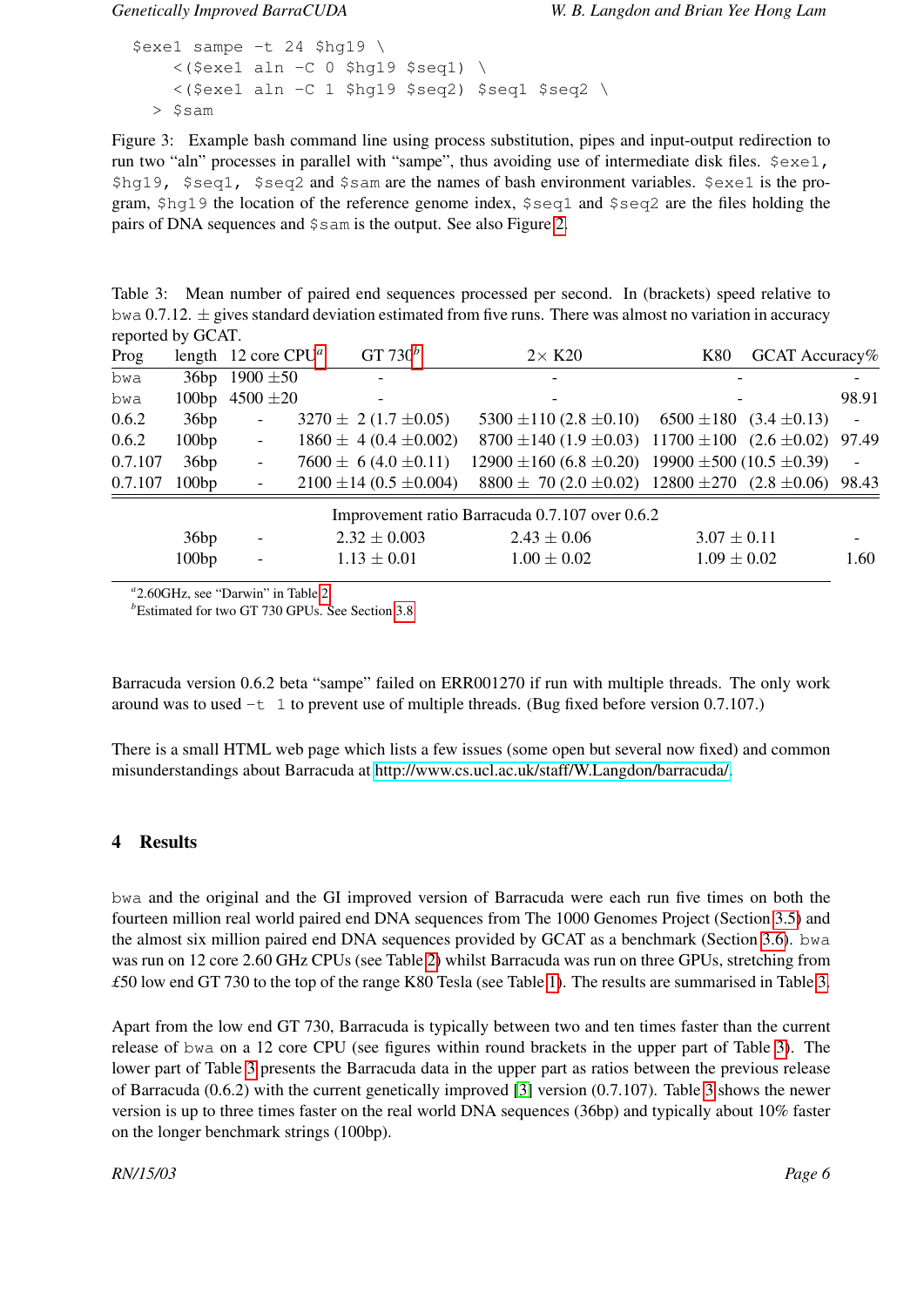```
$exe1 sampe -t 24 $hq19 \
   \langle($exe1 aln -C 0 $hq19 $seq1) \
   <($exe1 aln -C 1 $hg19 $seq2) $seq1 $seq2 \
> $sam
```
<span id="page-6-2"></span>Figure 3: Example bash command line using process substitution, pipes and input-output redirection to run two "aln" processes in parallel with "sampe", thus avoiding use of intermediate disk files.  $\frac{1}{2}$ exe1, \$hg19, \$seq1, \$seq2 and \$sam are the names of bash environment variables. \$exe1 is the program,  $\frac{1}{9}$  the location of the reference genome index,  $\frac{1}{9}$  seq1 and  $\frac{1}{9}$  seq2 are the files holding the pairs of DNA sequences and \$sam is the output. See also Figure [2.](#page-5-0)

<span id="page-6-1"></span>Table 3: Mean number of paired end sequences processed per second. In (brackets) speed relative to bwa 0.7.12.  $\pm$  gives standard deviation estimated from five runs. There was almost no variation in accuracy reported by GCAT.

| Prog    |       | length 12 core $CPU^a$   | GT 730 $^b$                   | $2\times$ K20                                                        | K80 |                 | GCAT Accuracy% |                          |
|---------|-------|--------------------------|-------------------------------|----------------------------------------------------------------------|-----|-----------------|----------------|--------------------------|
| bwa     |       | 36bp 1900 $\pm 50$       |                               |                                                                      |     |                 |                |                          |
| bwa     |       | 100bp $4500 \pm 20$      |                               |                                                                      |     |                 |                | 98.91                    |
| 0.6.2   | 36bp  | $\overline{\phantom{a}}$ | $3270 \pm 2(1.7 \pm 0.05)$    | 5300 $\pm$ 110 (2.8 $\pm$ 0.10) 6500 $\pm$ 180 (3.4 $\pm$ 0.13)      |     |                 |                | $\overline{\phantom{a}}$ |
| 0.6.2   | 100bp | $\overline{\phantom{a}}$ | $1860 \pm 4 (0.4 \pm 0.002)$  | $8700 \pm 140 (1.9 \pm 0.03)$ 11700 $\pm 100 (2.6 \pm 0.02)$ 97.49   |     |                 |                |                          |
| 0.7.107 | 36bp  | $\overline{\phantom{a}}$ | $7600 \pm 6(4.0 \pm 0.11)$    | $12900 \pm 160 (6.8 \pm 0.20)$ 19900 $\pm 500 (10.5 \pm 0.39)$       |     |                 |                | $\overline{\phantom{a}}$ |
| 0.7.107 | 100bp | $\overline{\phantom{a}}$ | $2100 \pm 14 (0.5 \pm 0.004)$ | $8800 \pm 70 (2.0 \pm 0.02)$ 12800 $\pm 270$ (2.8 $\pm 0.06$ ) 98.43 |     |                 |                |                          |
|         |       |                          |                               | Improvement ratio Barracuda 0.7.107 over 0.6.2                       |     |                 |                |                          |
|         | 36bp  | $\overline{\phantom{a}}$ | $2.32 \pm 0.003$              | $2.43 \pm 0.06$                                                      |     | $3.07 \pm 0.11$ |                | $\overline{\phantom{a}}$ |
|         | 100bp | $\blacksquare$           | $1.13 \pm 0.01$               | $1.00 \pm 0.02$                                                      |     | $1.09 \pm 0.02$ |                | 1.60                     |
|         |       |                          |                               |                                                                      |     |                 |                |                          |

<span id="page-6-3"></span>*a* 2.60GHz, see "Darwin" in Table [2](#page-3-2)

<span id="page-6-4"></span><sup>*b*</sup>Estimated for two GT 730 GPUs. See Section [3.8](#page-5-1)

Barracuda version 0.6.2 beta "sampe" failed on ERR001270 if run with multiple threads. The only work around was to used  $-t$  1 to prevent use of multiple threads. (Bug fixed before version 0.7.107.)

There is a small HTML web page which lists a few issues (some open but several now fixed) and common misunderstandings about Barracuda at [http://www.cs.ucl.ac.uk/staff/W.Langdon/barracuda/.](http://www.cs.ucl.ac.uk/staff/W.Langdon/barracuda/)

#### <span id="page-6-0"></span>4 Results

bwa and the original and the GI improved version of Barracuda were each run five times on both the fourteen million real world paired end DNA sequences from The 1000 Genomes Project (Section [3.5\)](#page-4-1) and the almost six million paired end DNA sequences provided by GCAT as a benchmark (Section [3.6\)](#page-4-2). bwa was run on 12 core 2.60 GHz CPUs (see Table [2\)](#page-3-2) whilst Barracuda was run on three GPUs, stretching from *£*50 low end GT 730 to the top of the range K80 Tesla (see Table [1\)](#page-3-1). The results are summarised in Table [3.](#page-6-1)

Apart from the low end GT 730, Barracuda is typically between two and ten times faster than the current release of bwa on a 12 core CPU (see figures within round brackets in the upper part of Table [3\)](#page-6-1). The lower part of Table [3](#page-6-1) presents the Barracuda data in the upper part as ratios between the previous release of Barracuda (0.6.2) with the current genetically improved [\[3\]](#page-7-2) version (0.7.107). Table [3](#page-6-1) shows the newer version is up to three times faster on the real world DNA sequences (36bp) and typically about 10% faster on the longer benchmark strings (100bp).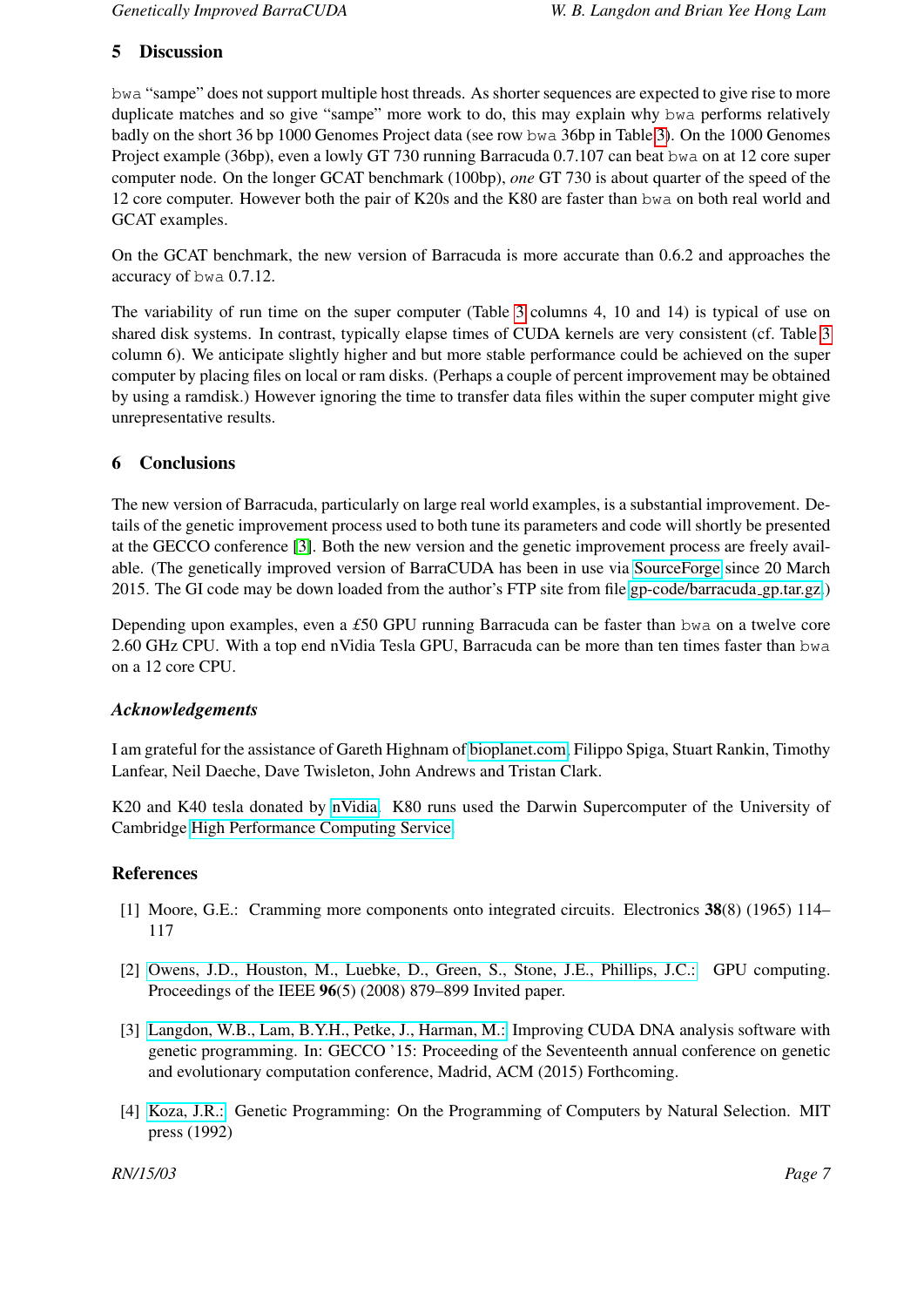#### 5 Discussion

bwa "sampe" does not support multiple host threads. As shorter sequences are expected to give rise to more duplicate matches and so give "sampe" more work to do, this may explain why bwa performs relatively badly on the short 36 bp 1000 Genomes Project data (see row bwa 36bp in Table [3\)](#page-6-1). On the 1000 Genomes Project example (36bp), even a lowly GT 730 running Barracuda 0.7.107 can beat bwa on at 12 core super computer node. On the longer GCAT benchmark (100bp), *one* GT 730 is about quarter of the speed of the 12 core computer. However both the pair of K20s and the K80 are faster than bwa on both real world and GCAT examples.

On the GCAT benchmark, the new version of Barracuda is more accurate than 0.6.2 and approaches the accuracy of bwa 0.7.12.

The variability of run time on the super computer (Table [3](#page-6-1) columns 4, 10 and 14) is typical of use on shared disk systems. In contrast, typically elapse times of CUDA kernels are very consistent (cf. Table [3](#page-6-1) column 6). We anticipate slightly higher and but more stable performance could be achieved on the super computer by placing files on local or ram disks. (Perhaps a couple of percent improvement may be obtained by using a ramdisk.) However ignoring the time to transfer data files within the super computer might give unrepresentative results.

#### 6 Conclusions

The new version of Barracuda, particularly on large real world examples, is a substantial improvement. Details of the genetic improvement process used to both tune its parameters and code will shortly be presented at the GECCO conference [\[3\]](#page-7-2). Both the new version and the genetic improvement process are freely available. (The genetically improved version of BarraCUDA has been in use via [SourceForge](http://sourceforge.net/projects/seqbarracuda/?source=typ_redirect) since 20 March 2015. The GI code may be down loaded from the author's FTP site from file [gp-code/barracuda](http://www.cs.ucl.ac.uk/staff/W.Langdon/ftp/gp-code/barracuda_gp.tar.gz) gp.tar.gz.)

Depending upon examples, even a *£*50 GPU running Barracuda can be faster than bwa on a twelve core 2.60 GHz CPU. With a top end nVidia Tesla GPU, Barracuda can be more than ten times faster than bwa on a 12 core CPU.

#### *Acknowledgements*

I am grateful for the assistance of Gareth Highnam of [bioplanet.com,](http://www.bioplanet.com/) Filippo Spiga, Stuart Rankin, Timothy Lanfear, Neil Daeche, Dave Twisleton, John Andrews and Tristan Clark.

K20 and K40 tesla donated by [nVidia.](http://www.nvidia.com) K80 runs used the Darwin Supercomputer of the University of Cambridge [High Performance Computing Service.](http://www.hpc.cam.ac.uk/)

#### References

- <span id="page-7-0"></span>[1] Moore, G.E.: Cramming more components onto integrated circuits. Electronics 38(8) (1965) 114– 117
- <span id="page-7-1"></span>[2] [Owens, J.D., Houston, M., Luebke, D., Green, S., Stone, J.E., Phillips, J.C.:](http://dx.doi.org/10.1109/JPROC.2008.917757) GPU computing. Proceedings of the IEEE 96(5) (2008) 879–899 Invited paper.
- <span id="page-7-2"></span>[3] [Langdon, W.B., Lam, B.Y.H., Petke, J., Harman, M.:](http://www.cs.bham.ac.uk/~wbl/biblio/gp-html/Langdon_2015_GECCO.html) Improving CUDA DNA analysis software with genetic programming. In: GECCO '15: Proceeding of the Seventeenth annual conference on genetic and evolutionary computation conference, Madrid, ACM (2015) Forthcoming.
- <span id="page-7-3"></span>[4] [Koza, J.R.:](http://www.cs.bham.ac.uk/~wbl/biblio/gp-html/koza_book.html) Genetic Programming: On the Programming of Computers by Natural Selection. MIT press (1992)